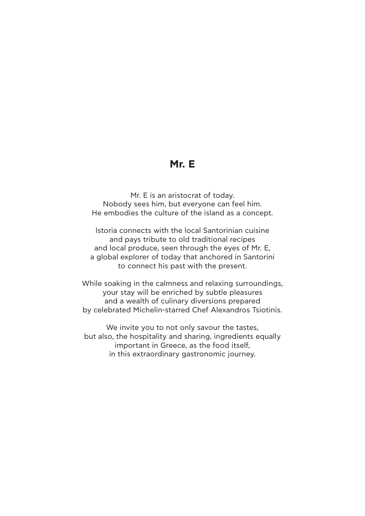# **Mr. E**

Mr. E is an aristocrat of today. Nobody sees him, but everyone can feel him. He embodies the culture of the island as a concept.

Istoria connects with the local Santorinian cuisine and pays tribute to old traditional recipes and local produce, seen through the eyes of Mr. E, a global explorer of today that anchored in Santorini to connect his past with the present.

While soaking in the calmness and relaxing surroundings, your stay will be enriched by subtle pleasures and a wealth of culinary diversions prepared by celebrated Michelin-starred Chef Alexandros Tsiotinis.

We invite you to not only savour the tastes, but also, the hospitality and sharing, ingredients equally important in Greece, as the food itself, in this extraordinary gastronomic journey.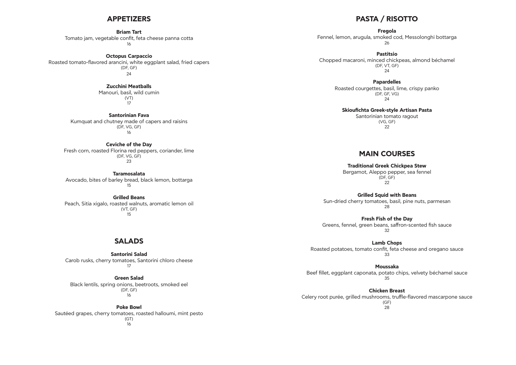## **APPETIZERS**

#### **Briam Tart**

Tomato jam, vegetable confit, feta cheese panna cotta 16

> Manouri, basil, wild cumin (VT)  $\frac{1}{17}$

**Octopus Carpaccio** Roasted tomato-flavored arancini, white eggplant salad, fried capers (DF, GF) 24

#### **Zucchini Meatballs**

**Santorinian Fava** Kumquat and chutney made of capers and raisins (DF, VG, GF) 16

#### **Ceviche of the Day**

Fresh corn, roasted Florina red peppers, coriander, lime (DF, VG, GF) 23

**Taramosalata**  Avocado, bites of barley bread, black lemon, bottarga 15

#### **Grilled Beans**

Peach, Sitia xigalo, roasted walnuts, aromatic lemon oil (VT, GF) 15

# **SALADS**

**Santorini Salad** Carob rusks, cherry tomatoes, Santorini chloro cheese 17

### **Green Salad**

Black lentils, spring onions, beetroots, smoked eel (DF, GF) 16

#### **Poke Bowl**

Sautéed grapes, cherry tomatoes, roasted halloumi, mint pesto (GT) 16

# **PASTA / RISOTTO**

**Fregola**  Fennel, lemon, arugula, smoked cod, Messolonghi bottarga 26

**Pastitsio** Chopped macaroni, minced chickpeas, almond béchamel (DF, VT, GF) 24

> **Papardelles** Roasted courgettes, basil, lime, crispy panko (DF, GF, VG) 24

**Skioufichta Greek-style Artisan Pasta**  Santorinian tomato ragout (VG, GF) 22

# **MAIN COURSES**

**Traditional Greek Chickpea Stew**  Bergamot, Aleppo pepper, sea fennel (DF, GF) 22

**Grilled Squid with Beans** Sun-dried cherry tomatoes, basil, pine nuts, parmesan 28

**Fresh Fish of the Day** Greens, fennel, green beans, saffron-scented fish sauce 32

**Lamb Chops** Roasted potatoes, tomato confit, feta cheese and oregano sauce 33

**Moussaka** Beef fillet, eggplant caponata, potato chips, velvety béchamel sauce 35

**Chicken Breast** Celery root purée, grilled mushrooms, truffle-flavored mascarpone sauce (GF) 28